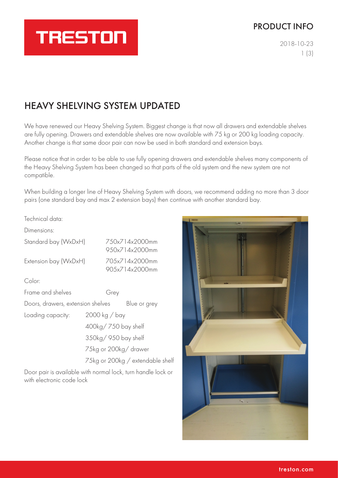## PRODUCT INFO

2018-10-23 1 (3)

# HEAVY SHELVING SYSTEM UPDATED

**TRESTON** 

We have renewed our Heavy Shelving System. Biggest change is that now all drawers and extendable shelves are fully opening. Drawers and extendable shelves are now available with 75 kg or 200 kg loading capacity. Another change is that same door pair can now be used in both standard and extension bays.

Please notice that in order to be able to use fully opening drawers and extendable shelves many components of the Heavy Shelving System has been changed so that parts of the old system and the new system are not compatible.

When building a longer line of Heavy Shelving System with doors, we recommend adding no more than 3 door pairs (one standard bay and max 2 extension bays) then continue with another standard bay.

#### Technical data:

Dimensions:

| Standard bay (WxDxH)              |                       | 750x714x2000mm<br>950x714x2000mm |                                   |  |  |
|-----------------------------------|-----------------------|----------------------------------|-----------------------------------|--|--|
| Extension bay (WxDxH)             |                       |                                  | 705x714x2000mm<br>90.5x714x2000mm |  |  |
| Color:                            |                       |                                  |                                   |  |  |
| Frame and shelves                 |                       | Grey                             |                                   |  |  |
| Doors, drawers, extension shelves |                       |                                  | Blue or grey                      |  |  |
| Loading capacity:                 | 2000 kg / bay         |                                  |                                   |  |  |
|                                   | 400kg/750 bay shelf   |                                  |                                   |  |  |
|                                   | 350kg/950 bay shelf   |                                  |                                   |  |  |
|                                   | 75kg or 200kg/ drawer |                                  |                                   |  |  |
|                                   |                       | 75kg or 200kg / extendable shelf |                                   |  |  |

Door pair is available with normal lock, turn handle lock or with electronic code lock

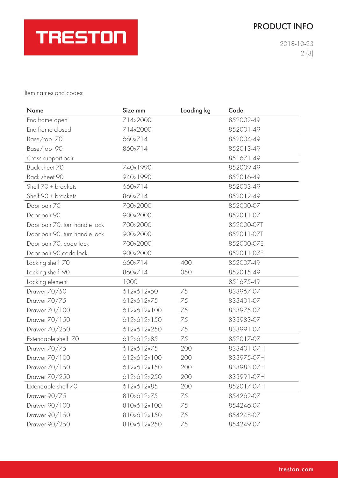# PRODUCT INFO



2018-10-23 2 (3)

Item names and codes:

| <b>Name</b>                    | Size mm     | Loading kg | Code       |
|--------------------------------|-------------|------------|------------|
| End frame open                 | 714x2000    |            | 852002-49  |
| End frame closed               | 714x2000    |            | 852001-49  |
| Base/top 70                    | 660x714     |            | 852004-49  |
| Base/top 90                    | 860x714     |            | 852013-49  |
| Cross support pair             |             |            | 851671-49  |
| Back sheet 70                  | 740x1990    |            | 852009-49  |
| Back sheet 90                  | 940x1990    |            | 852016-49  |
| Shelf 70 + brackets            | 660x714     |            | 852003-49  |
| Shelf 90 + brackets            | 860x714     |            | 852012-49  |
| Door pair 70                   | 700x2000    |            | 852000-07  |
| Door pair 90                   | 900x2000    |            | 852011-07  |
| Door pair 70, turn handle lock | 700x2000    |            | 852000-07T |
| Door pair 90, turn handle lock | 900x2000    |            | 852011-07T |
| Door pair 70, code lock        | 700x2000    |            | 852000-07E |
| Door pair 90, code lock        | 900x2000    |            | 852011-07E |
| Locking shelf 70               | 660x714     | 400        | 852007-49  |
| Locking shelf 90               | 860x714     | 350        | 852015-49  |
| Locking element                | 1000        |            | 851675-49  |
| Drawer 70/50                   | 612x612x50  | 75         | 833967-07  |
| Drawer 70/75                   | 612x612x75  | 75         | 833401-07  |
| Drawer 70/100                  | 612x612x100 | 75         | 833975-07  |
| Drawer 70/150                  | 612x612x150 | 75         | 833983-07  |
| Drawer 70/250                  | 612x612x250 | 75         | 833991-07  |
| Extendable shelf 70            | 612x612x85  | 75         | 852017-07  |
| Drawer 70/75                   | 612x612x75  | 200        | 833401-07H |
| Drawer 70/100                  | 612x612x100 | 200        | 833975-07H |
| Drawer 70/150                  | 612x612x150 | 200        | 833983-07H |
| Drawer 70/250                  | 612x612x250 | 200        | 833991-07H |
| Extendable shelf 70            | 612x612x85  | 200        | 852017-07H |
| Drawer 90/75                   | 810x612x75  | 75         | 854262-07  |
| Drawer 90/100                  | 810x612x100 | 75         | 854246-07  |
| Drawer 90/150                  | 810x612x150 | 75         | 854248-07  |
| Drawer 90/250                  | 810x612x250 | 75         | 854249-07  |